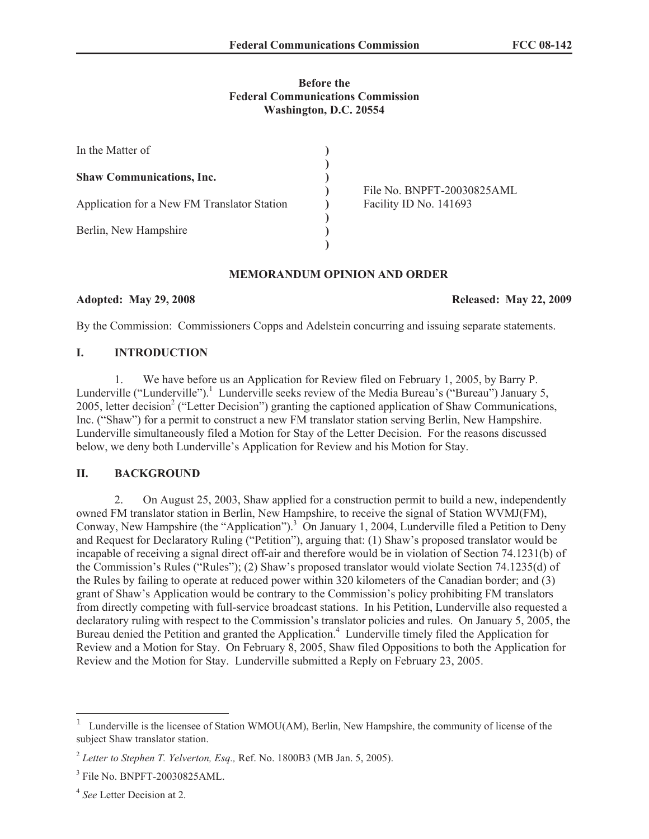## **Before the Federal Communications Commission Washington, D.C. 20554**

| In the Matter of                            |                            |
|---------------------------------------------|----------------------------|
|                                             |                            |
| <b>Shaw Communications, Inc.</b>            |                            |
|                                             | File No. BNPFT-20030825AML |
| Application for a New FM Translator Station | Facility ID No. 141693     |
|                                             |                            |
| Berlin, New Hampshire                       |                            |
|                                             |                            |

## **MEMORANDUM OPINION AND ORDER**

**Adopted: May 29, 2008 Released: May 22, 2009**

By the Commission: Commissioners Copps and Adelstein concurring and issuing separate statements.

# **I. INTRODUCTION**

1. We have before us an Application for Review filed on February 1, 2005, by Barry P. Lunderville ("Lunderville").<sup>1</sup> Lunderville seeks review of the Media Bureau's ("Bureau") January 5, 2005, letter decision<sup>2</sup> ("Letter Decision") granting the captioned application of Shaw Communications, Inc. ("Shaw") for a permit to construct a new FM translator station serving Berlin, New Hampshire. Lunderville simultaneously filed a Motion for Stay of the Letter Decision. For the reasons discussed below, we deny both Lunderville's Application for Review and his Motion for Stay.

## **II. BACKGROUND**

2. On August 25, 2003, Shaw applied for a construction permit to build a new, independently owned FM translator station in Berlin, New Hampshire, to receive the signal of Station WVMJ(FM), Conway, New Hampshire (the "Application").<sup>3</sup> On January 1, 2004, Lunderville filed a Petition to Deny and Request for Declaratory Ruling ("Petition"), arguing that: (1) Shaw's proposed translator would be incapable of receiving a signal direct off-air and therefore would be in violation of Section 74.1231(b) of the Commission's Rules ("Rules"); (2) Shaw's proposed translator would violate Section 74.1235(d) of the Rules by failing to operate at reduced power within 320 kilometers of the Canadian border; and (3) grant of Shaw's Application would be contrary to the Commission's policy prohibiting FM translators from directly competing with full-service broadcast stations. In his Petition, Lunderville also requested a declaratory ruling with respect to the Commission's translator policies and rules. On January 5, 2005, the Bureau denied the Petition and granted the Application.<sup>4</sup> Lunderville timely filed the Application for Review and a Motion for Stay. On February 8, 2005, Shaw filed Oppositions to both the Application for Review and the Motion for Stay. Lunderville submitted a Reply on February 23, 2005.

<sup>1</sup> Lunderville is the licensee of Station WMOU(AM), Berlin, New Hampshire, the community of license of the subject Shaw translator station.

<sup>2</sup> *Letter to Stephen T. Yelverton, Esq.,* Ref. No. 1800B3 (MB Jan. 5, 2005).

<sup>3</sup> File No. BNPFT-20030825AML.

<sup>4</sup> *See* Letter Decision at 2.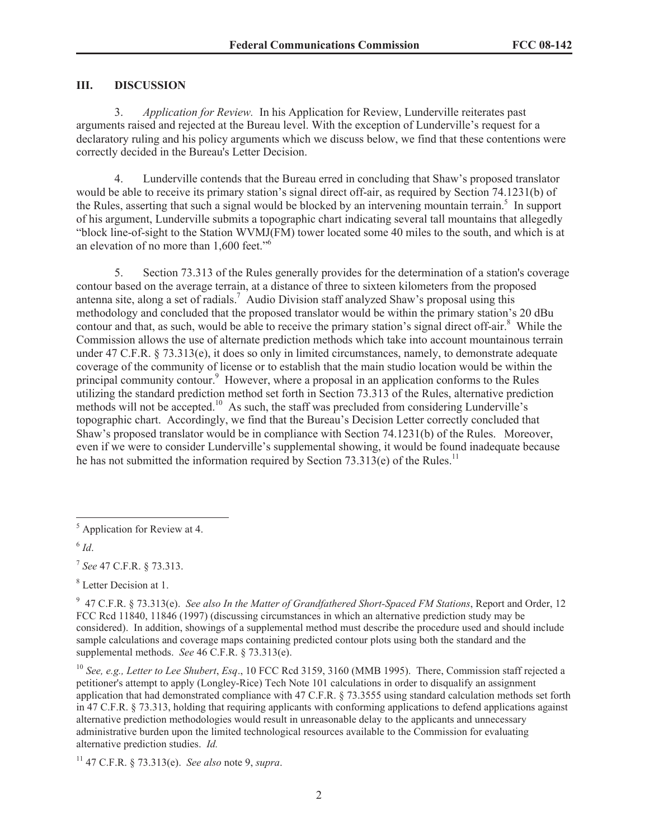# **III. DISCUSSION**

3. *Application for Review.* In his Application for Review, Lunderville reiterates past arguments raised and rejected at the Bureau level. With the exception of Lunderville's request for a declaratory ruling and his policy arguments which we discuss below, we find that these contentions were correctly decided in the Bureau's Letter Decision.

4. Lunderville contends that the Bureau erred in concluding that Shaw's proposed translator would be able to receive its primary station's signal direct off-air, as required by Section 74.1231(b) of the Rules, asserting that such a signal would be blocked by an intervening mountain terrain.<sup>5</sup> In support of his argument, Lunderville submits a topographic chart indicating several tall mountains that allegedly "block line-of-sight to the Station WVMJ(FM) tower located some 40 miles to the south, and which is at an elevation of no more than 1,600 feet."<sup>6</sup>

5. Section 73.313 of the Rules generally provides for the determination of a station's coverage contour based on the average terrain, at a distance of three to sixteen kilometers from the proposed antenna site, along a set of radials.<sup>7</sup> Audio Division staff analyzed Shaw's proposal using this methodology and concluded that the proposed translator would be within the primary station's 20 dBu contour and that, as such, would be able to receive the primary station's signal direct off-air.<sup>8</sup> While the Commission allows the use of alternate prediction methods which take into account mountainous terrain under 47 C.F.R. § 73.313(e), it does so only in limited circumstances, namely, to demonstrate adequate coverage of the community of license or to establish that the main studio location would be within the principal community contour.<sup>9</sup> However, where a proposal in an application conforms to the Rules utilizing the standard prediction method set forth in Section 73.313 of the Rules, alternative prediction methods will not be accepted.<sup>10</sup> As such, the staff was precluded from considering Lunderville's topographic chart. Accordingly, we find that the Bureau's Decision Letter correctly concluded that Shaw's proposed translator would be in compliance with Section 74.1231(b) of the Rules. Moreover, even if we were to consider Lunderville's supplemental showing, it would be found inadequate because he has not submitted the information required by Section 73.313(e) of the Rules.<sup>11</sup>

<sup>11</sup> 47 C.F.R. § 73.313(e). *See also* note 9, *supra*.

<sup>5</sup> Application for Review at 4.

<sup>6</sup> *Id*.

<sup>7</sup> *See* 47 C.F.R. § 73.313.

<sup>8</sup> Letter Decision at 1.

<sup>9</sup> 47 C.F.R. § 73.313(e). *See also In the Matter of Grandfathered Short-Spaced FM Stations*, Report and Order, 12 FCC Rcd 11840, 11846 (1997) (discussing circumstances in which an alternative prediction study may be considered). In addition, showings of a supplemental method must describe the procedure used and should include sample calculations and coverage maps containing predicted contour plots using both the standard and the supplemental methods. *See* 46 C.F.R. § 73.313(e).

<sup>10</sup> *See, e.g., Letter to Lee Shubert*, *Esq*., 10 FCC Rcd 3159, 3160 (MMB 1995). There, Commission staff rejected a petitioner's attempt to apply (Longley-Rice) Tech Note 101 calculations in order to disqualify an assignment application that had demonstrated compliance with 47 C.F.R. § 73.3555 using standard calculation methods set forth in 47 C.F.R. § 73.313, holding that requiring applicants with conforming applications to defend applications against alternative prediction methodologies would result in unreasonable delay to the applicants and unnecessary administrative burden upon the limited technological resources available to the Commission for evaluating alternative prediction studies. *Id.*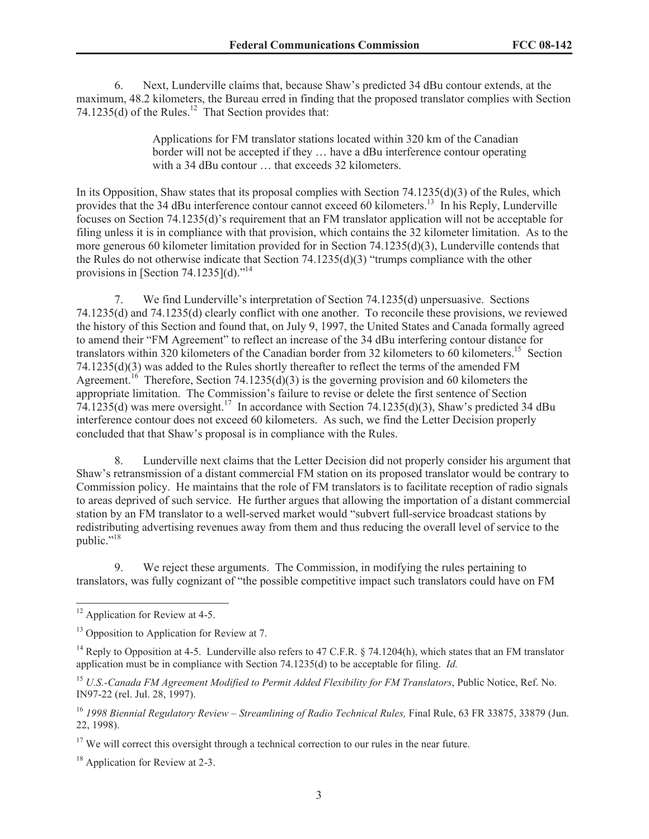6. Next, Lunderville claims that, because Shaw's predicted 34 dBu contour extends, at the maximum, 48.2 kilometers, the Bureau erred in finding that the proposed translator complies with Section 74.1235(d) of the Rules.<sup>12</sup> That Section provides that:

> Applications for FM translator stations located within 320 km of the Canadian border will not be accepted if they … have a dBu interference contour operating with a 34 dBu contour ... that exceeds 32 kilometers.

In its Opposition, Shaw states that its proposal complies with Section 74.1235(d)(3) of the Rules, which provides that the 34 dBu interference contour cannot exceed 60 kilometers.<sup>13</sup> In his Reply, Lunderville focuses on Section 74.1235(d)'s requirement that an FM translator application will not be acceptable for filing unless it is in compliance with that provision, which contains the 32 kilometer limitation. As to the more generous 60 kilometer limitation provided for in Section 74.1235(d)(3), Lunderville contends that the Rules do not otherwise indicate that Section  $74.1235(d)(3)$  "trumps compliance with the other provisions in [Section 74.1235](d)."<sup>14</sup>

7. We find Lunderville's interpretation of Section 74.1235(d) unpersuasive. Sections 74.1235(d) and 74.1235(d) clearly conflict with one another. To reconcile these provisions, we reviewed the history of this Section and found that, on July 9, 1997, the United States and Canada formally agreed to amend their "FM Agreement" to reflect an increase of the 34 dBu interfering contour distance for translators within 320 kilometers of the Canadian border from 32 kilometers to 60 kilometers.<sup>15</sup> Section 74.1235(d)(3) was added to the Rules shortly thereafter to reflect the terms of the amended FM Agreement.<sup>16</sup> Therefore, Section 74.1235(d)(3) is the governing provision and 60 kilometers the appropriate limitation. The Commission's failure to revise or delete the first sentence of Section  $74.1235(d)$  was mere oversight.<sup>17</sup> In accordance with Section 74.1235(d)(3), Shaw's predicted 34 dBu interference contour does not exceed 60 kilometers. As such, we find the Letter Decision properly concluded that that Shaw's proposal is in compliance with the Rules.

8. Lunderville next claims that the Letter Decision did not properly consider his argument that Shaw's retransmission of a distant commercial FM station on its proposed translator would be contrary to Commission policy. He maintains that the role of FM translators is to facilitate reception of radio signals to areas deprived of such service. He further argues that allowing the importation of a distant commercial station by an FM translator to a well-served market would "subvert full-service broadcast stations by redistributing advertising revenues away from them and thus reducing the overall level of service to the public."<sup>18</sup>

9. We reject these arguments. The Commission, in modifying the rules pertaining to translators, was fully cognizant of "the possible competitive impact such translators could have on FM

<sup>&</sup>lt;sup>12</sup> Application for Review at 4-5.

<sup>&</sup>lt;sup>13</sup> Opposition to Application for Review at 7.

<sup>&</sup>lt;sup>14</sup> Reply to Opposition at 4-5. Lunderville also refers to 47 C.F.R. § 74.1204(h), which states that an FM translator application must be in compliance with Section 74.1235(d) to be acceptable for filing. *Id.*

<sup>15</sup> *U.S.-Canada FM Agreement Modified to Permit Added Flexibility for FM Translators*, Public Notice, Ref. No. IN97-22 (rel. Jul. 28, 1997).

<sup>16</sup> *1998 Biennial Regulatory Review – Streamlining of Radio Technical Rules,* Final Rule, 63 FR 33875, 33879 (Jun. 22, 1998).

<sup>&</sup>lt;sup>17</sup> We will correct this oversight through a technical correction to our rules in the near future.

<sup>&</sup>lt;sup>18</sup> Application for Review at 2-3.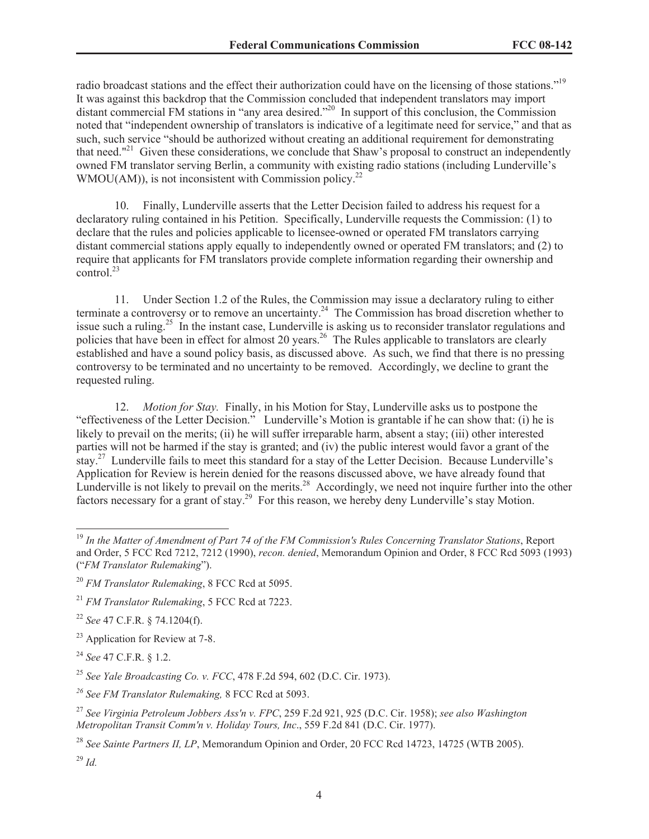radio broadcast stations and the effect their authorization could have on the licensing of those stations."<sup>19</sup> It was against this backdrop that the Commission concluded that independent translators may import distant commercial FM stations in "any area desired."<sup>20</sup> In support of this conclusion, the Commission noted that "independent ownership of translators is indicative of a legitimate need for service," and that as such, such service "should be authorized without creating an additional requirement for demonstrating that need."<sup>21</sup> Given these considerations, we conclude that Shaw's proposal to construct an independently owned FM translator serving Berlin, a community with existing radio stations (including Lunderville's  $WMOU(AM)$ , is not inconsistent with Commission policy.<sup>22</sup>

10. Finally, Lunderville asserts that the Letter Decision failed to address his request for a declaratory ruling contained in his Petition. Specifically, Lunderville requests the Commission: (1) to declare that the rules and policies applicable to licensee-owned or operated FM translators carrying distant commercial stations apply equally to independently owned or operated FM translators; and (2) to require that applicants for FM translators provide complete information regarding their ownership and control. $^{23}$ 

11. Under Section 1.2 of the Rules, the Commission may issue a declaratory ruling to either terminate a controversy or to remove an uncertainty.<sup>24</sup> The Commission has broad discretion whether to issue such a ruling.<sup>25</sup> In the instant case, Lunderville is asking us to reconsider translator regulations and policies that have been in effect for almost 20 years.<sup>26</sup> The Rules applicable to translators are clearly established and have a sound policy basis, as discussed above. As such, we find that there is no pressing controversy to be terminated and no uncertainty to be removed. Accordingly, we decline to grant the requested ruling.

12. *Motion for Stay.* Finally, in his Motion for Stay, Lunderville asks us to postpone the "effectiveness of the Letter Decision." Lunderville's Motion is grantable if he can show that: (i) he is likely to prevail on the merits; (ii) he will suffer irreparable harm, absent a stay; (iii) other interested parties will not be harmed if the stay is granted; and (iv) the public interest would favor a grant of the stay.<sup>27</sup> Lunderville fails to meet this standard for a stay of the Letter Decision. Because Lunderville's Application for Review is herein denied for the reasons discussed above, we have already found that Lunderville is not likely to prevail on the merits.<sup>28</sup> Accordingly, we need not inquire further into the other factors necessary for a grant of stay.<sup>29</sup> For this reason, we hereby deny Lunderville's stay Motion.

<sup>22</sup> *See* 47 C.F.R. § 74.1204(f).

<sup>24</sup> *See* 47 C.F.R. § 1.2.

*<sup>26</sup> See FM Translator Rulemaking,* 8 FCC Rcd at 5093.

<sup>29</sup> *Id.*

<sup>19</sup> *In the Matter of Amendment of Part 74 of the FM Commission's Rules Concerning Translator Stations*, Report and Order, 5 FCC Rcd 7212, 7212 (1990), *recon. denied*, Memorandum Opinion and Order, 8 FCC Rcd 5093 (1993) ("*FM Translator Rulemaking*").

<sup>20</sup> *FM Translator Rulemaking*, 8 FCC Rcd at 5095.

<sup>21</sup> *FM Translator Rulemaking*, 5 FCC Rcd at 7223.

<sup>&</sup>lt;sup>23</sup> Application for Review at 7-8.

<sup>25</sup> *See Yale Broadcasting Co. v. FCC*, 478 F.2d 594, 602 (D.C. Cir. 1973).

<sup>27</sup> *See Virginia Petroleum Jobbers Ass'n v. FPC*, 259 F.2d 921, 925 (D.C. Cir. 1958); *see also Washington Metropolitan Transit Comm'n v. Holiday Tours, Inc*., 559 F.2d 841 (D.C. Cir. 1977).

<sup>&</sup>lt;sup>28</sup> See Sainte Partners II, LP, Memorandum Opinion and Order, 20 FCC Rcd 14723, 14725 (WTB 2005).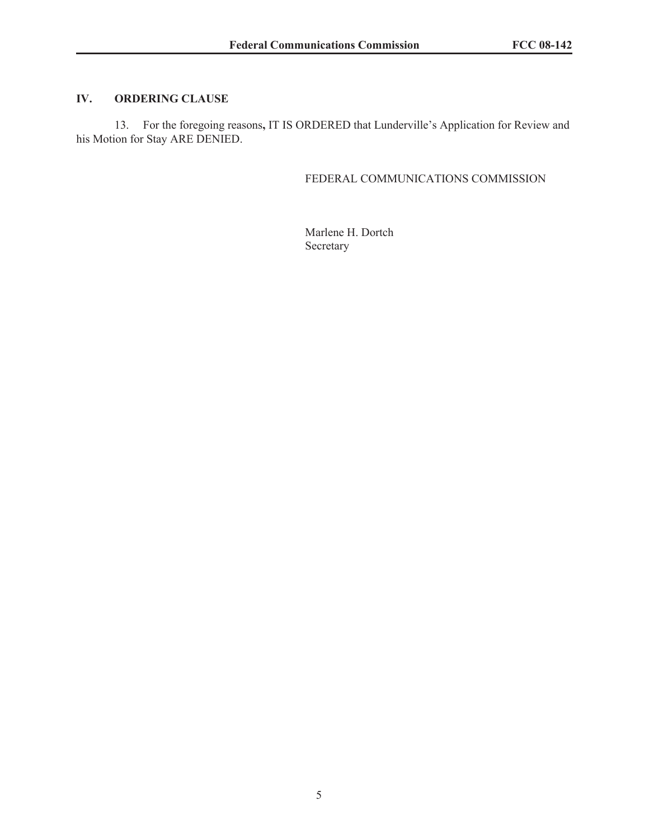# **IV. ORDERING CLAUSE**

13. For the foregoing reasons**,** IT IS ORDERED that Lunderville's Application for Review and his Motion for Stay ARE DENIED.

# FEDERAL COMMUNICATIONS COMMISSION

Marlene H. Dortch Secretary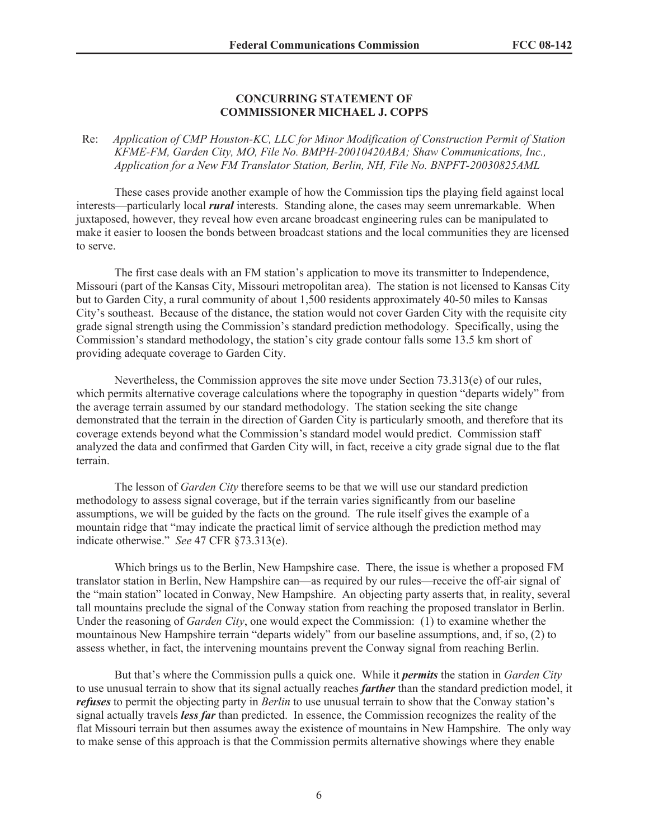#### **CONCURRING STATEMENT OF COMMISSIONER MICHAEL J. COPPS**

## Re: *Application of CMP Houston-KC, LLC for Minor Modification of Construction Permit of Station KFME-FM, Garden City, MO, File No. BMPH-20010420ABA; Shaw Communications, Inc., Application for a New FM Translator Station, Berlin, NH, File No. BNPFT-20030825AML*

These cases provide another example of how the Commission tips the playing field against local interests—particularly local *rural* interests. Standing alone, the cases may seem unremarkable. When juxtaposed, however, they reveal how even arcane broadcast engineering rules can be manipulated to make it easier to loosen the bonds between broadcast stations and the local communities they are licensed to serve.

The first case deals with an FM station's application to move its transmitter to Independence, Missouri (part of the Kansas City, Missouri metropolitan area). The station is not licensed to Kansas City but to Garden City, a rural community of about 1,500 residents approximately 40-50 miles to Kansas City's southeast. Because of the distance, the station would not cover Garden City with the requisite city grade signal strength using the Commission's standard prediction methodology. Specifically, using the Commission's standard methodology, the station's city grade contour falls some 13.5 km short of providing adequate coverage to Garden City.

Nevertheless, the Commission approves the site move under Section 73.313(e) of our rules, which permits alternative coverage calculations where the topography in question "departs widely" from the average terrain assumed by our standard methodology. The station seeking the site change demonstrated that the terrain in the direction of Garden City is particularly smooth, and therefore that its coverage extends beyond what the Commission's standard model would predict. Commission staff analyzed the data and confirmed that Garden City will, in fact, receive a city grade signal due to the flat terrain.

The lesson of *Garden City* therefore seems to be that we will use our standard prediction methodology to assess signal coverage, but if the terrain varies significantly from our baseline assumptions, we will be guided by the facts on the ground. The rule itself gives the example of a mountain ridge that "may indicate the practical limit of service although the prediction method may indicate otherwise." *See* 47 CFR §73.313(e).

Which brings us to the Berlin, New Hampshire case. There, the issue is whether a proposed FM translator station in Berlin, New Hampshire can—as required by our rules—receive the off-air signal of the "main station" located in Conway, New Hampshire. An objecting party asserts that, in reality, several tall mountains preclude the signal of the Conway station from reaching the proposed translator in Berlin. Under the reasoning of *Garden City*, one would expect the Commission: (1) to examine whether the mountainous New Hampshire terrain "departs widely" from our baseline assumptions, and, if so, (2) to assess whether, in fact, the intervening mountains prevent the Conway signal from reaching Berlin.

But that's where the Commission pulls a quick one. While it *permits* the station in *Garden City* to use unusual terrain to show that its signal actually reaches *farther* than the standard prediction model, it *refuses* to permit the objecting party in *Berlin* to use unusual terrain to show that the Conway station's signal actually travels *less far* than predicted. In essence, the Commission recognizes the reality of the flat Missouri terrain but then assumes away the existence of mountains in New Hampshire. The only way to make sense of this approach is that the Commission permits alternative showings where they enable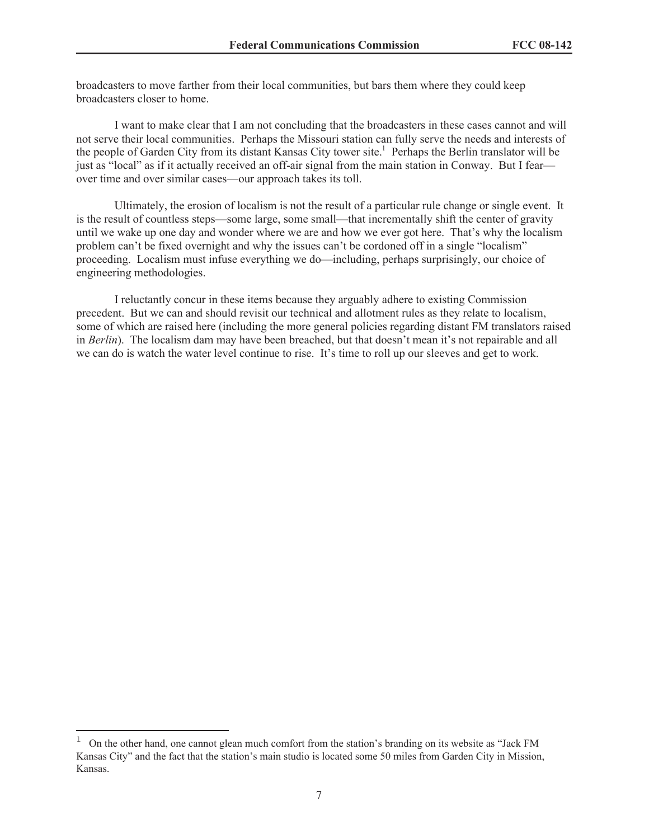broadcasters to move farther from their local communities, but bars them where they could keep broadcasters closer to home.

I want to make clear that I am not concluding that the broadcasters in these cases cannot and will not serve their local communities. Perhaps the Missouri station can fully serve the needs and interests of the people of Garden City from its distant Kansas City tower site.<sup>1</sup> Perhaps the Berlin translator will be just as "local" as if it actually received an off-air signal from the main station in Conway. But I fear over time and over similar cases—our approach takes its toll.

Ultimately, the erosion of localism is not the result of a particular rule change or single event. It is the result of countless steps—some large, some small—that incrementally shift the center of gravity until we wake up one day and wonder where we are and how we ever got here. That's why the localism problem can't be fixed overnight and why the issues can't be cordoned off in a single "localism" proceeding. Localism must infuse everything we do—including, perhaps surprisingly, our choice of engineering methodologies.

I reluctantly concur in these items because they arguably adhere to existing Commission precedent. But we can and should revisit our technical and allotment rules as they relate to localism, some of which are raised here (including the more general policies regarding distant FM translators raised in *Berlin*). The localism dam may have been breached, but that doesn't mean it's not repairable and all we can do is watch the water level continue to rise. It's time to roll up our sleeves and get to work.

<sup>1</sup> On the other hand, one cannot glean much comfort from the station's branding on its website as "Jack FM Kansas City" and the fact that the station's main studio is located some 50 miles from Garden City in Mission, Kansas.